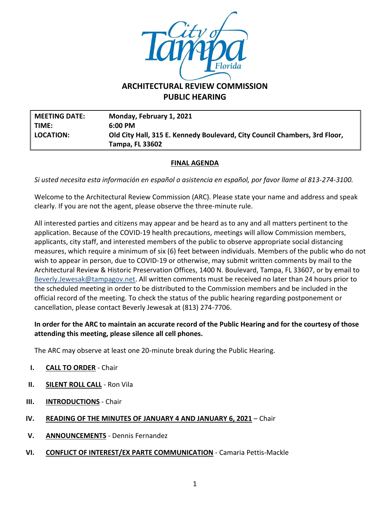

# **ARCHITECTURAL REVIEW COMMISSION PUBLIC HEARING**

**MEETING DATE: Monday, February 1, 2021 TIME: 6:00 PM LOCATION: Old City Hall, 315 E. Kennedy Boulevard, City Council Chambers, 3rd Floor, Tampa, FL 33602**

## **FINAL AGENDA**

*Si usted necesita esta información en español o asistencia en español, por favor llame al 813-274-3100.*

Welcome to the Architectural Review Commission (ARC). Please state your name and address and speak clearly. If you are not the agent, please observe the three-minute rule.

All interested parties and citizens may appear and be heard as to any and all matters pertinent to the application. Because of the COVID-19 health precautions, meetings will allow Commission members, applicants, city staff, and interested members of the public to observe appropriate social distancing measures, which require a minimum of six (6) feet between individuals. Members of the public who do not wish to appear in person, due to COVID-19 or otherwise, may submit written comments by mail to the Architectural Review & Historic Preservation Offices, 1400 N. Boulevard, Tampa, FL 33607, or by email to [Beverly.Jewesak@tampagov.net.](mailto:Beverly.Jewesak@tampagov.net) All written comments must be received no later than 24 hours prior to the scheduled meeting in order to be distributed to the Commission members and be included in the official record of the meeting. To check the status of the public hearing regarding postponement or cancellation, please contact Beverly Jewesak at (813) 274-7706.

## **In order for the ARC to maintain an accurate record of the Public Hearing and for the courtesy of those attending this meeting, please silence all cell phones.**

The ARC may observe at least one 20-minute break during the Public Hearing.

- **I. CALL TO ORDER** Chair
- **II. SILENT ROLL CALL** Ron Vila
- **III. INTRODUCTIONS** Chair
- **IV. READING OF THE MINUTES OF JANUARY 4 AND JANUARY 6, 2021** Chair
- **V. ANNOUNCEMENTS** Dennis Fernandez
- **VI. CONFLICT OF INTEREST/EX PARTE COMMUNICATION** Camaria Pettis-Mackle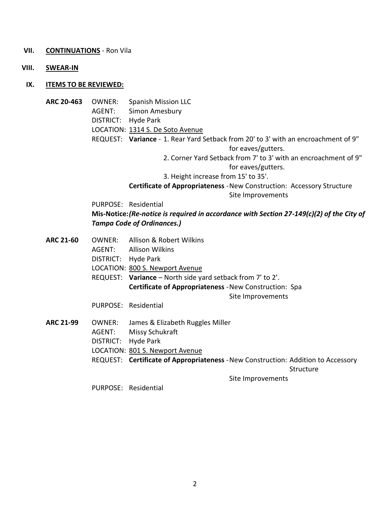#### **VII. CONTINUATIONS** - Ron Vila

**VIII. SWEAR-IN**

#### **IX. ITEMS TO BE REVIEWED:**

- **ARC 20-463** OWNER: Spanish Mission LLC AGENT: Simon Amesbury
	-
	- DISTRICT: Hyde Park
	- LOCATION: 1314 S. De Soto Avenue
	- REQUEST: **Variance** 1. Rear Yard Setback from 20' to 3' with an encroachment of 9" for eaves/gutters.
		- 2. Corner Yard Setback from 7' to 3' with an encroachment of 9"
			- for eaves/gutters.
		- 3. Height increase from 15' to 35'.

**Certificate of Appropriateness** -New Construction: Accessory Structure Site Improvements

PURPOSE: Residential

### **Mis-Notice:***(Re-notice is required in accordance with Section 27-149(c)(2) of the City of Tampa Code of Ordinances.)*

- **ARC 21-60** OWNER: Allison & Robert Wilkins AGENT: Allison Wilkins DISTRICT: Hyde Park LOCATION: 800 S. Newport Avenue REQUEST: **Variance** – North side yard setback from 7' to 2'. **Certificate of Appropriateness** -New Construction: Spa Site Improvements PURPOSE: Residential
- **ARC 21-99** OWNER: James & Elizabeth Ruggles Miller AGENT: Missy Schukraft DISTRICT: Hyde Park LOCATION: 801 S. Newport Avenue REQUEST: **Certificate of Appropriateness** -New Construction: Addition to Accessory **Structure** Site Improvements

PURPOSE: Residential